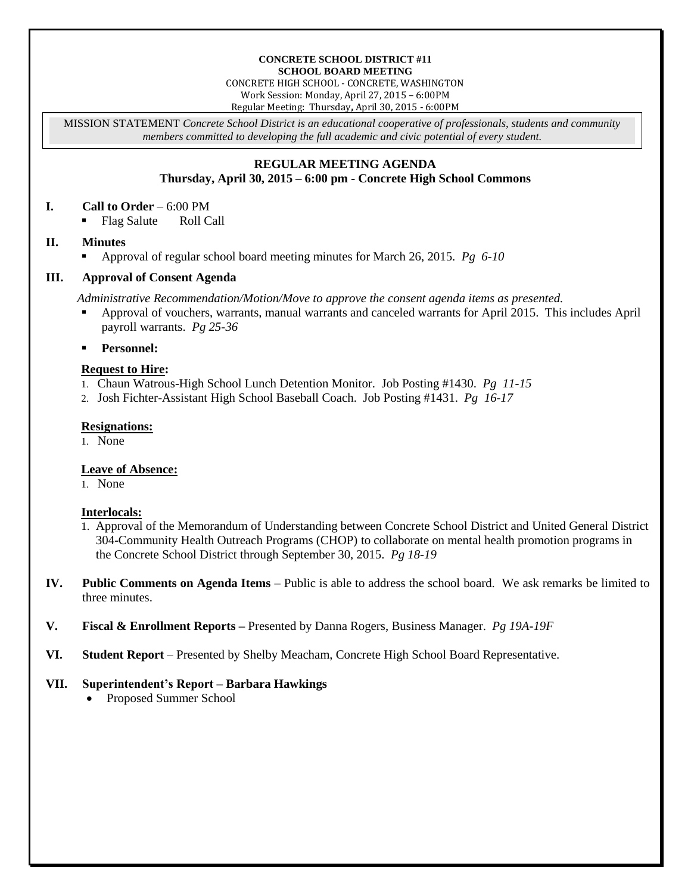#### **CONCRETE SCHOOL DISTRICT #11 SCHOOL BOARD MEETING**

CONCRETE HIGH SCHOOL - CONCRETE, WASHINGTON Work Session: Monday, April 27, 2015 – 6:00PM

Regular Meeting: Thursday**,** April 30, 2015 - 6:00PM

MISSION STATEMENT *Concrete School District is an educational cooperative of professionals, students and community members committed to developing the full academic and civic potential of every student.*

#### **REGULAR MEETING AGENDA Thursday, April 30, 2015 – 6:00 pm - Concrete High School Commons**

#### **I. Call to Order** – 6:00 PM

• Flag Salute Roll Call

### **II. Minutes**

Approval of regular school board meeting minutes for March 26, 2015. *Pg 6-10*

# **III. Approval of Consent Agenda**

*Administrative Recommendation/Motion/Move to approve the consent agenda items as presented.*

- Approval of vouchers, warrants, manual warrants and canceled warrants for April 2015. This includes April payroll warrants. *Pg 25-36*
- **Personnel:**

# **Request to Hire:**

- 1. Chaun Watrous-High School Lunch Detention Monitor. Job Posting #1430. *Pg 11-15*
- 2. Josh Fichter-Assistant High School Baseball Coach. Job Posting #1431. *Pg 16-17*

### **Resignations:**

1. None

# **Leave of Absence:**

1. None

### **Interlocals:**

- 1. Approval of the Memorandum of Understanding between Concrete School District and United General District 304-Community Health Outreach Programs (CHOP) to collaborate on mental health promotion programs in the Concrete School District through September 30, 2015. *Pg 18-19*
- **IV. Public Comments on Agenda Items** Public is able to address the school board. We ask remarks be limited to three minutes.
- **V. Fiscal & Enrollment Reports –** Presented by Danna Rogers, Business Manager. *Pg 19A-19F*
- **VI. Student Report** Presented by Shelby Meacham, Concrete High School Board Representative.

# **VII. Superintendent's Report – Barbara Hawkings**

• Proposed Summer School